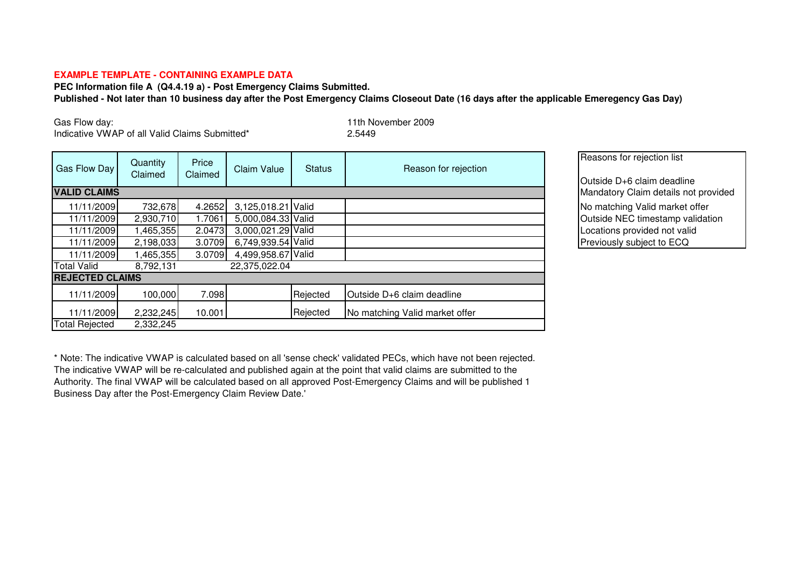## **EXAMPLE TEMPLATE - CONTAINING EXAMPLE DATA**

**PEC Information file A (Q4.4.19 a) - Post Emergency Claims Submitted. Published - Not later than 10 business day after the Post Emergency Claims Closeout Date (16 days after the applicable Emeregency Gas Day)**

Gas Flow day:

Indicative VWAP of all Valid Claims Submitted\* 2.5449

11th November 2009

| <b>Gas Flow Day</b>    | Quantity<br>Claimed | Price<br>Claimed                     | <b>Claim Value</b> | <b>Status</b> | Reason for rejection           | Reasons for rejection list<br>Outside D+6 claim deadline                                                                        |
|------------------------|---------------------|--------------------------------------|--------------------|---------------|--------------------------------|---------------------------------------------------------------------------------------------------------------------------------|
| <b>VALID CLAIMS</b>    |                     | Mandatory Claim details not provided |                    |               |                                |                                                                                                                                 |
| 11/11/2009             | 732,678             | 4.2652                               | 3,125,018.21 Valid |               |                                | No matching Valid market offer<br>Outside NEC timestamp validation<br>Locations provided not valid<br>Previously subject to ECQ |
| 11/11/2009             | 2,930,710           | 1.7061                               | 5,000,084.33 Valid |               |                                |                                                                                                                                 |
| 11/11/2009             | 1,465,355           | 2.0473                               | 3,000,021.29 Valid |               |                                |                                                                                                                                 |
| 11/11/2009             | 2,198,033           | 3.0709                               | 6,749,939.54 Valid |               |                                |                                                                                                                                 |
| 11/11/2009             | 1,465,355           | 3.0709                               | 4,499,958.67 Valid |               |                                |                                                                                                                                 |
| <b>Total Valid</b>     | 8,792,131           |                                      | 22,375,022.04      |               |                                |                                                                                                                                 |
| <b>REJECTED CLAIMS</b> |                     |                                      |                    |               |                                |                                                                                                                                 |
| 11/11/2009             | 100,000             | 7.098                                |                    | Rejected      | Outside D+6 claim deadline     |                                                                                                                                 |
| 11/11/2009             | 2,232,245           | 10.001                               |                    | Rejected      | No matching Valid market offer |                                                                                                                                 |
| <b>Total Rejected</b>  | 2,332,245           |                                      |                    |               |                                |                                                                                                                                 |

\* Note: The indicative VWAP is calculated based on all 'sense check' validated PECs, which have not been rejected. The indicative VWAP will be re-calculated and published again at the point that valid claims are submitted to the Authority. The final VWAP will be calculated based on all approved Post-Emergency Claims and will be published 1 Business Day after the Post-Emergency Claim Review Date.'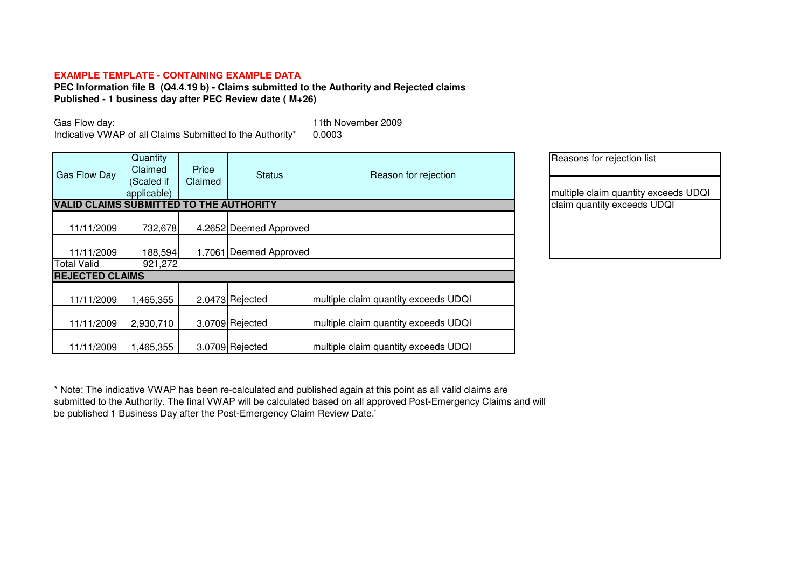## **EXAMPLE TEMPLATE - CONTAINING EXAMPLE DATA**

**PEC Information file B (Q4.4.19 b) - Claims submitted to the Authority and Rejected claims Published - 1 business day after PEC Review date ( M+26)**

Gas Flow day:

Indicative VWAP of all Claims Submitted to the Authority\*

11th November 2009<br>0.0003

| Gas Flow Day                                   | Quantity<br>Claimed<br>(Scaled if<br>applicable) | Price<br>Claimed           | <b>Status</b>          | Reason for rejection                 | Reasons for rejection list<br>multiple claim quantity excee |
|------------------------------------------------|--------------------------------------------------|----------------------------|------------------------|--------------------------------------|-------------------------------------------------------------|
| <b>VALID CLAIMS SUBMITTED TO THE AUTHORITY</b> |                                                  | claim quantity exceeds UDQ |                        |                                      |                                                             |
| 11/11/2009                                     | 732,678                                          |                            | 4.2652 Deemed Approved |                                      |                                                             |
| 11/11/2009                                     | 188,594                                          |                            | 1.7061 Deemed Approved |                                      |                                                             |
| <b>Total Valid</b>                             | 921,272                                          |                            |                        |                                      |                                                             |
| <b>REJECTED CLAIMS</b>                         |                                                  |                            |                        |                                      |                                                             |
| 11/11/2009                                     | 1,465,355                                        |                            | 2.0473 Rejected        | multiple claim quantity exceeds UDQI |                                                             |
| 11/11/2009                                     | 2,930,710                                        |                            | 3.0709 Rejected        | multiple claim quantity exceeds UDQI |                                                             |
| 11/11/2009                                     | 1,465,355                                        |                            | 3.0709 Rejected        | multiple claim quantity exceeds UDQI |                                                             |

| Reasons for rejection list           |
|--------------------------------------|
| multiple claim quantity exceeds UDQI |
| claim quantity exceeds UDQI          |
|                                      |
|                                      |

\* Note: The indicative VWAP has been re-calculated and published again at this point as all valid claims are submitted to the Authority. The final VWAP will be calculated based on all approved Post-Emergency Claims and will be published 1 Business Day after the Post-Emergency Claim Review Date.'